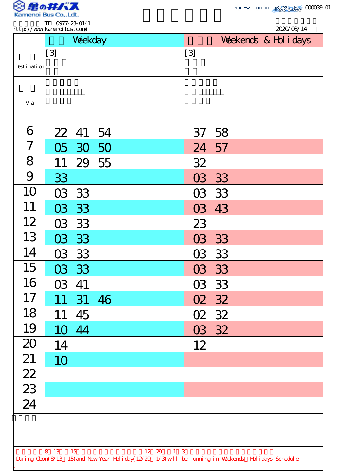

|                 | http://www.kamenoi.bus.com/ | Weekday |                                                                                                    |                  | 2020/03/14<br>Weekends & Hol i days |  |  |
|-----------------|-----------------------------|---------|----------------------------------------------------------------------------------------------------|------------------|-------------------------------------|--|--|
|                 | $\left[3\right]$            |         |                                                                                                    | $\left[3\right]$ |                                     |  |  |
| Desti nati on   |                             |         |                                                                                                    |                  |                                     |  |  |
| Vi a            |                             |         |                                                                                                    |                  |                                     |  |  |
| 6               | 22                          | 41      | 54                                                                                                 | 37               | 58                                  |  |  |
| 7               | 05                          | 30      | 50                                                                                                 | 24               | 57                                  |  |  |
| 8               | 11                          | 29      | 55                                                                                                 | 32               |                                     |  |  |
| 9               | 33                          |         |                                                                                                    | 03               | 33                                  |  |  |
| 10              | 03                          | 33      |                                                                                                    | 03               | 33                                  |  |  |
| 11              | 03                          | 33      |                                                                                                    | 03               | 43                                  |  |  |
| 12              | 03                          | 33      |                                                                                                    | 23               |                                     |  |  |
| 13              | 03                          | 33      |                                                                                                    | 03               | 33                                  |  |  |
| 14              |                             | 03 33   |                                                                                                    |                  | 03 33                               |  |  |
| 15              |                             | 03 33   |                                                                                                    |                  | 03 33                               |  |  |
| 16              | 03                          | 41      |                                                                                                    |                  | 03 33                               |  |  |
| 17              | 11                          | 31      | 46                                                                                                 |                  | 02 32                               |  |  |
| 18              | 11                          | 45      |                                                                                                    |                  | 02 32                               |  |  |
| 19              | 10                          | 44      |                                                                                                    |                  | 03 32                               |  |  |
| 20              | 14                          |         |                                                                                                    | 12               |                                     |  |  |
| 21              | 10                          |         |                                                                                                    |                  |                                     |  |  |
| $\overline{22}$ |                             |         |                                                                                                    |                  |                                     |  |  |
| $\overline{23}$ |                             |         |                                                                                                    |                  |                                     |  |  |
| $\overline{24}$ |                             |         |                                                                                                    |                  |                                     |  |  |
|                 |                             |         |                                                                                                    |                  |                                     |  |  |
|                 |                             |         |                                                                                                    |                  |                                     |  |  |
|                 | 8 13 15                     |         | During Cbon(8/13 15) and New Year Holiday(12/29 1/3) will be running in Weekends Holidays Schedule | 12 29 1 3        |                                     |  |  |